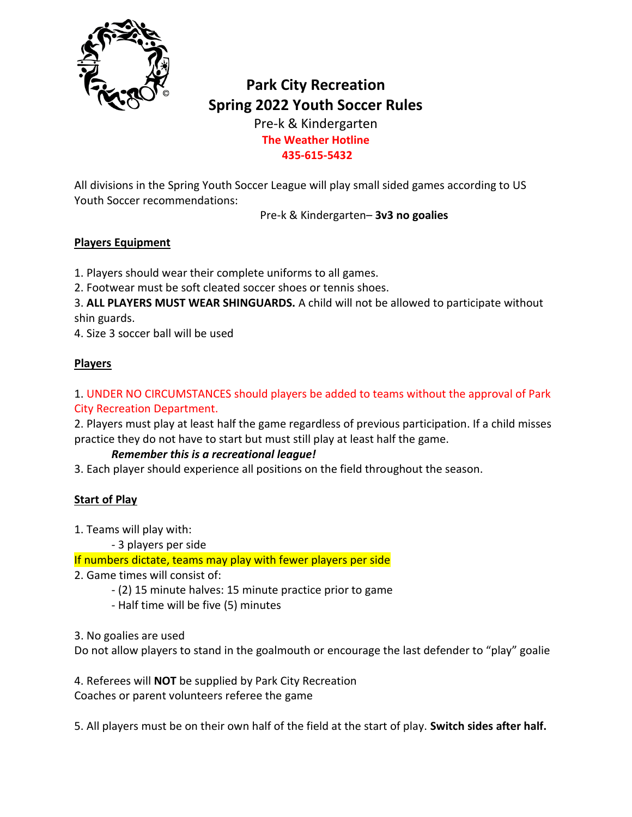

# **Park City Recreation Spring 2022 Youth Soccer Rules**

Pre-k & Kindergarten **The Weather Hotline 435-615-5432**

All divisions in the Spring Youth Soccer League will play small sided games according to US Youth Soccer recommendations:

Pre-k & Kindergarten– **3v3 no goalies**

#### **Players Equipment**

- 1. Players should wear their complete uniforms to all games.
- 2. Footwear must be soft cleated soccer shoes or tennis shoes.

3. **ALL PLAYERS MUST WEAR SHINGUARDS.** A child will not be allowed to participate without shin guards.

4. Size 3 soccer ball will be used

## **Players**

## 1. UNDER NO CIRCUMSTANCES should players be added to teams without the approval of Park City Recreation Department.

2. Players must play at least half the game regardless of previous participation. If a child misses practice they do not have to start but must still play at least half the game.

## *Remember this is a recreational league!*

3. Each player should experience all positions on the field throughout the season.

## **Start of Play**

1. Teams will play with:

- 3 players per side

If numbers dictate, teams may play with fewer players per side

- 2. Game times will consist of:
	- (2) 15 minute halves: 15 minute practice prior to game
	- Half time will be five (5) minutes
- 3. No goalies are used

Do not allow players to stand in the goalmouth or encourage the last defender to "play" goalie

4. Referees will **NOT** be supplied by Park City Recreation Coaches or parent volunteers referee the game

5. All players must be on their own half of the field at the start of play. **Switch sides after half.**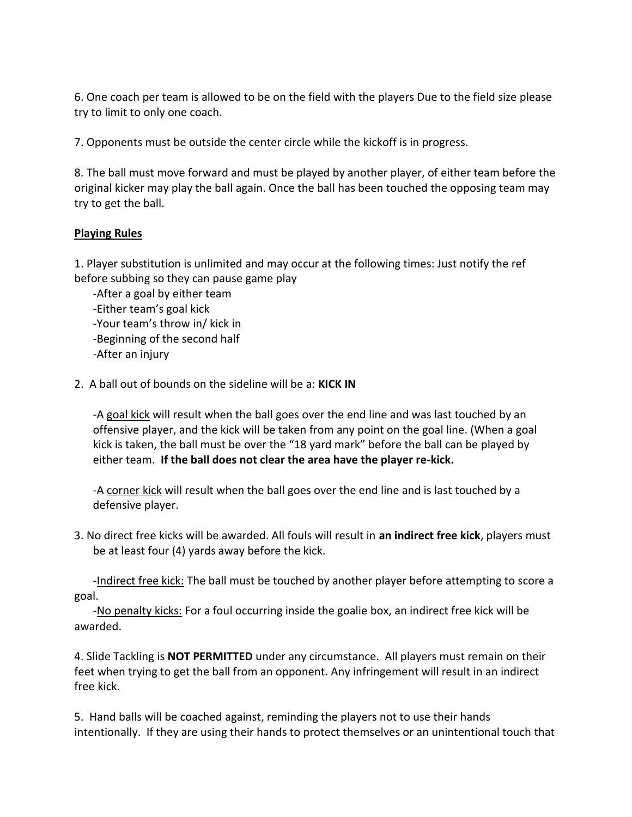6. One coach per team is allowed to be on the field with the players Due to the field size please try to limit to only one coach.

7. Opponents must be outside the center circle while the kickoff is in progress.

8. The ball must move forward and must be played by another player, of either team before the original kicker may play the ball again. Once the ball has been touched the opposing team may try to get the ball.

#### **Playing Rules**

1. Player substitution is unlimited and may occur at the following times: Just notify the ref before subbing so they can pause game play

-After a goal by either team -Either team's goal kick -Your team's throw in/ kick in -Beginning of the second half -After an injury

2. A ball out of bounds on the sideline will be a: **KICK IN** 

-A goal kick will result when the ball goes over the end line and was last touched by an offensive player, and the kick will be taken from any point on the goal line. (When a goal kick is taken, the ball must be over the "18 yard mark" before the ball can be played by either team. **If the ball does not clear the area have the player re-kick.**

-A corner kick will result when the ball goes over the end line and is last touched by a defensive player.

3. No direct free kicks will be awarded. All fouls will result in **an indirect free kick**, players must be at least four (4) yards away before the kick.

-Indirect free kick: The ball must be touched by another player before attempting to score a goal.

-No penalty kicks: For a foul occurring inside the goalie box, an indirect free kick will be awarded.

4. Slide Tackling is **NOT PERMITTED** under any circumstance. All players must remain on their feet when trying to get the ball from an opponent. Any infringement will result in an indirect free kick.

5. Hand balls will be coached against, reminding the players not to use their hands intentionally. If they are using their hands to protect themselves or an unintentional touch that